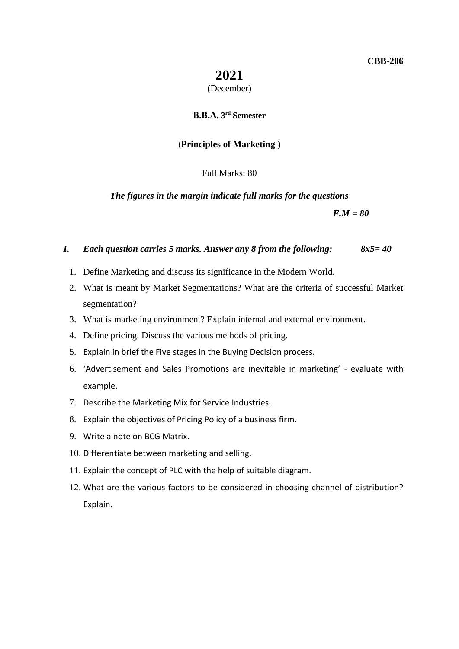# **2021**

#### (December)

#### **B.B.A. 3 rd Semester**

## (**Principles of Marketing )**

## Full Marks: 80

#### *The figures in the margin indicate full marks for the questions*

*F.M = 80*

### *I. Each question carries 5 marks. Answer any 8 from the following: 8x5= 40*

- 1. Define Marketing and discuss its significance in the Modern World.
- 2. What is meant by Market Segmentations? What are the criteria of successful Market segmentation?
- 3. What is marketing environment? Explain internal and external environment.
- 4. Define pricing. Discuss the various methods of pricing.
- 5. Explain in brief the Five stages in the Buying Decision process.
- 6. 'Advertisement and Sales Promotions are inevitable in marketing' evaluate with example.
- 7. Describe the Marketing Mix for Service Industries.
- 8. Explain the objectives of Pricing Policy of a business firm.
- 9. Write a note on BCG Matrix.
- 10. Differentiate between marketing and selling.
- 11. Explain the concept of PLC with the help of suitable diagram.
- 12. What are the various factors to be considered in choosing channel of distribution? Explain.